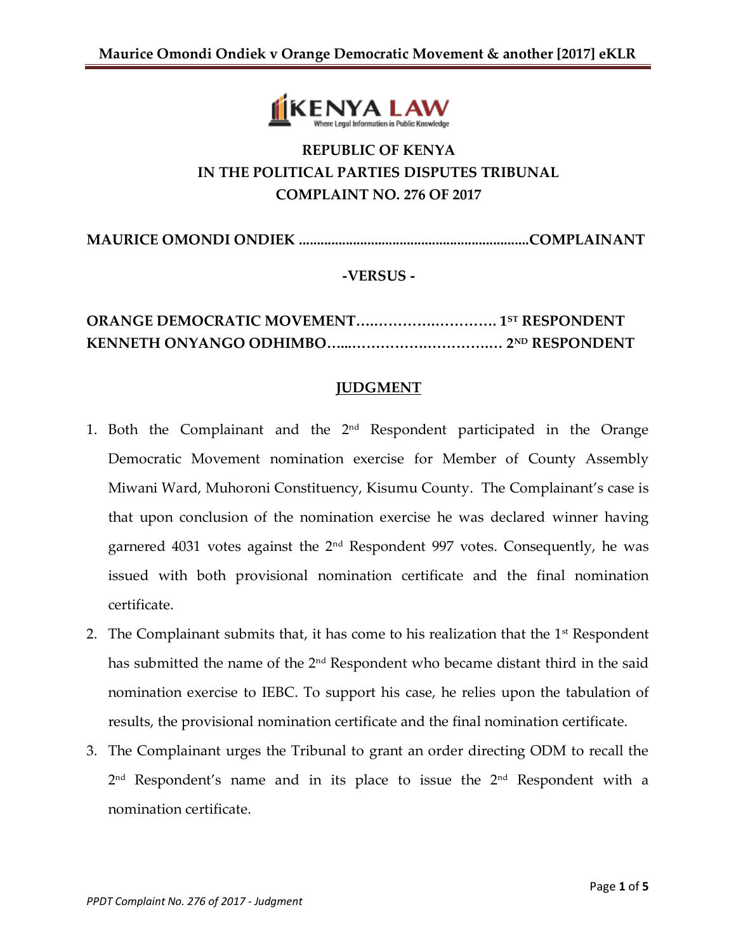

# **REPUBLIC OF KENYA IN THE POLITICAL PARTIES DISPUTES TRIBUNAL COMPLAINT NO. 276 OF 2017**

**MAURICE OMONDI ONDIEK ................................................................COMPLAINANT**

## **-VERSUS -**

## **ORANGE DEMOCRATIC MOVEMENT….………….…………. 1ST RESPONDENT KENNETH ONYANGO ODHIMBO…...…………….………….… 2ND RESPONDENT**

#### **JUDGMENT**

- 1. Both the Complainant and the 2nd Respondent participated in the Orange Democratic Movement nomination exercise for Member of County Assembly Miwani Ward, Muhoroni Constituency, Kisumu County. The Complainant's case is that upon conclusion of the nomination exercise he was declared winner having garnered 4031 votes against the  $2<sup>nd</sup>$  Respondent 997 votes. Consequently, he was issued with both provisional nomination certificate and the final nomination certificate.
- 2. The Complainant submits that, it has come to his realization that the  $1<sup>st</sup>$  Respondent has submitted the name of the 2<sup>nd</sup> Respondent who became distant third in the said nomination exercise to IEBC. To support his case, he relies upon the tabulation of results, the provisional nomination certificate and the final nomination certificate.
- 3. The Complainant urges the Tribunal to grant an order directing ODM to recall the 2<sup>nd</sup> Respondent's name and in its place to issue the 2<sup>nd</sup> Respondent with a nomination certificate.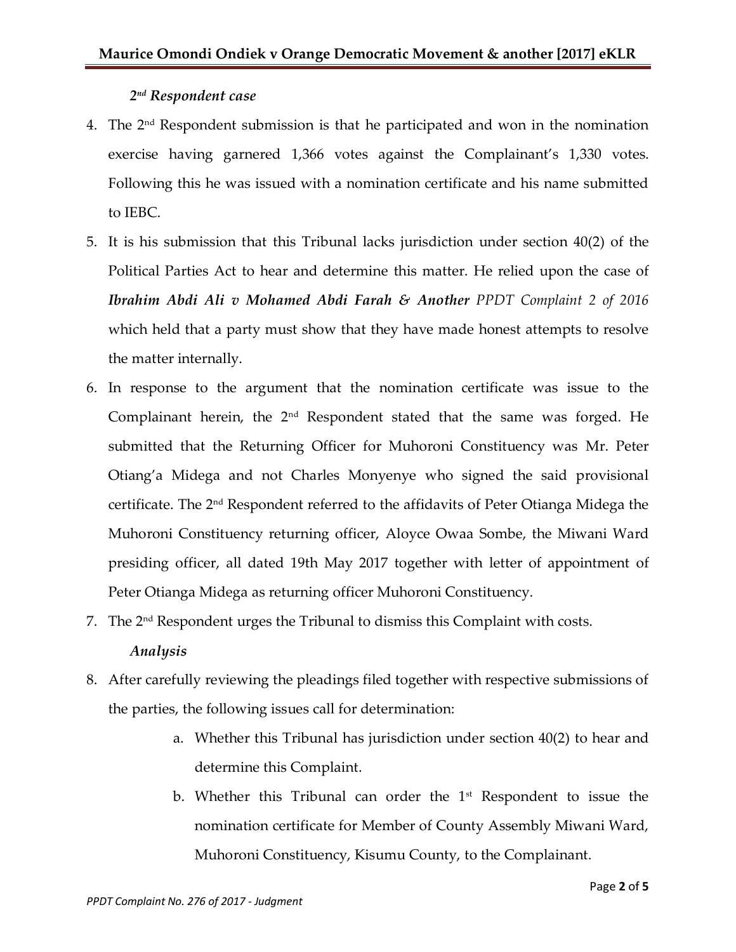## *2 nd Respondent case*

- 4. The 2nd Respondent submission is that he participated and won in the nomination exercise having garnered 1,366 votes against the Complainant's 1,330 votes. Following this he was issued with a nomination certificate and his name submitted to IEBC.
- 5. It is his submission that this Tribunal lacks jurisdiction under section 40(2) of the Political Parties Act to hear and determine this matter. He relied upon the case of *Ibrahim Abdi Ali v Mohamed Abdi Farah & Another PPDT Complaint 2 of 2016* which held that a party must show that they have made honest attempts to resolve the matter internally.
- 6. In response to the argument that the nomination certificate was issue to the Complainant herein, the  $2<sup>nd</sup>$  Respondent stated that the same was forged. He submitted that the Returning Officer for Muhoroni Constituency was Mr. Peter Otiang'a Midega and not Charles Monyenye who signed the said provisional certificate. The 2nd Respondent referred to the affidavits of Peter Otianga Midega the Muhoroni Constituency returning officer, Aloyce Owaa Sombe, the Miwani Ward presiding officer, all dated 19th May 2017 together with letter of appointment of Peter Otianga Midega as returning officer Muhoroni Constituency.
- 7. The  $2<sup>nd</sup>$  Respondent urges the Tribunal to dismiss this Complaint with costs.

#### *Analysis*

- 8. After carefully reviewing the pleadings filed together with respective submissions of the parties, the following issues call for determination:
	- a. Whether this Tribunal has jurisdiction under section 40(2) to hear and determine this Complaint.
	- b. Whether this Tribunal can order the  $1<sup>st</sup>$  Respondent to issue the nomination certificate for Member of County Assembly Miwani Ward, Muhoroni Constituency, Kisumu County, to the Complainant.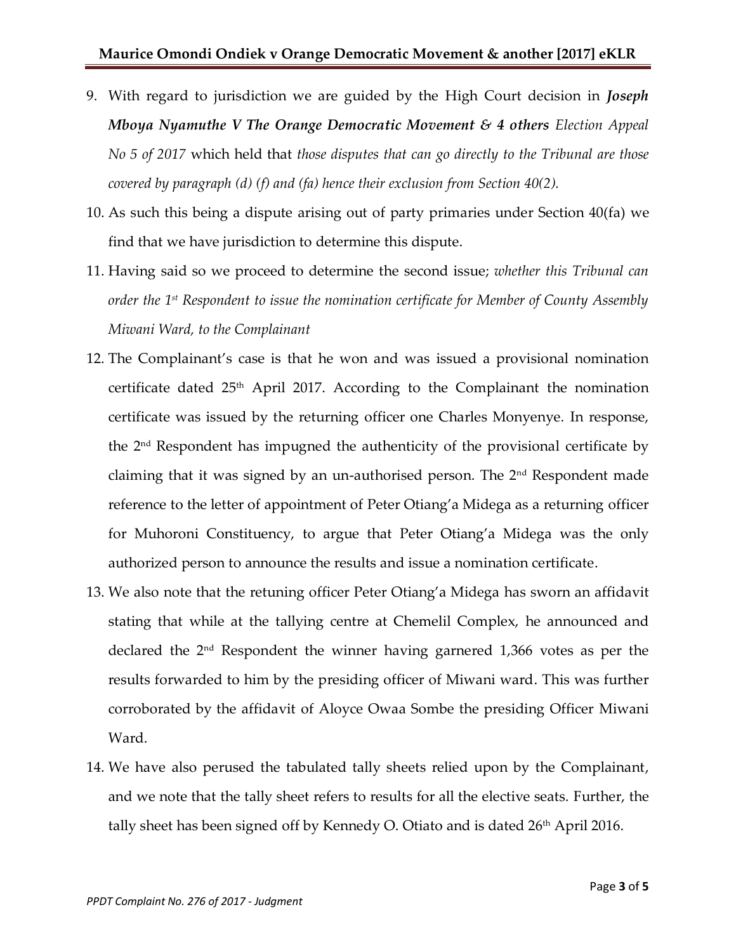- 9. With regard to jurisdiction we are guided by the High Court decision in *Joseph Mboya Nyamuthe V The Orange Democratic Movement & 4 others Election Appeal No 5 of 2017* which held that *those disputes that can go directly to the Tribunal are those covered by paragraph (d) (f) and (fa) hence their exclusion from Section 40(2).*
- 10. As such this being a dispute arising out of party primaries under Section 40(fa) we find that we have jurisdiction to determine this dispute.
- 11. Having said so we proceed to determine the second issue; *whether this Tribunal can order the 1st Respondent to issue the nomination certificate for Member of County Assembly Miwani Ward, to the Complainant*
- 12. The Complainant's case is that he won and was issued a provisional nomination certificate dated  $25<sup>th</sup>$  April 2017. According to the Complainant the nomination certificate was issued by the returning officer one Charles Monyenye. In response, the 2<sup>nd</sup> Respondent has impugned the authenticity of the provisional certificate by claiming that it was signed by an un-authorised person. The 2nd Respondent made reference to the letter of appointment of Peter Otiang'a Midega as a returning officer for Muhoroni Constituency, to argue that Peter Otiang'a Midega was the only authorized person to announce the results and issue a nomination certificate.
- 13. We also note that the retuning officer Peter Otiang'a Midega has sworn an affidavit stating that while at the tallying centre at Chemelil Complex, he announced and declared the 2nd Respondent the winner having garnered 1,366 votes as per the results forwarded to him by the presiding officer of Miwani ward. This was further corroborated by the affidavit of Aloyce Owaa Sombe the presiding Officer Miwani Ward.
- 14. We have also perused the tabulated tally sheets relied upon by the Complainant, and we note that the tally sheet refers to results for all the elective seats. Further, the tally sheet has been signed off by Kennedy O. Otiato and is dated 26<sup>th</sup> April 2016.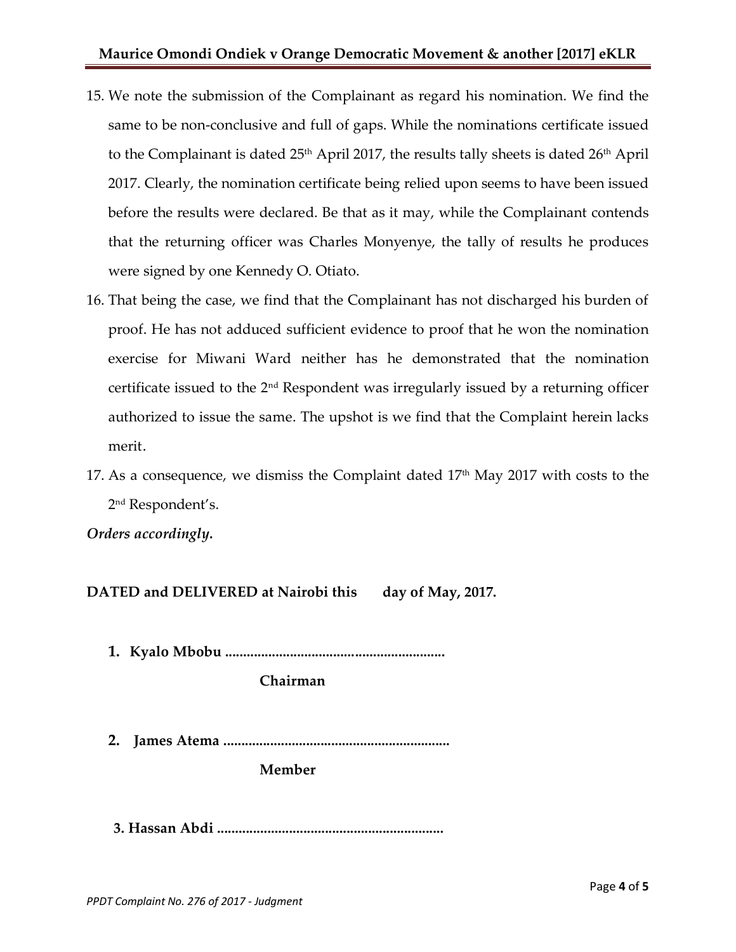- 15. We note the submission of the Complainant as regard his nomination. We find the same to be non-conclusive and full of gaps. While the nominations certificate issued to the Complainant is dated 25<sup>th</sup> April 2017, the results tally sheets is dated 26<sup>th</sup> April 2017. Clearly, the nomination certificate being relied upon seems to have been issued before the results were declared. Be that as it may, while the Complainant contends that the returning officer was Charles Monyenye, the tally of results he produces were signed by one Kennedy O. Otiato.
- 16. That being the case, we find that the Complainant has not discharged his burden of proof. He has not adduced sufficient evidence to proof that he won the nomination exercise for Miwani Ward neither has he demonstrated that the nomination certificate issued to the 2nd Respondent was irregularly issued by a returning officer authorized to issue the same. The upshot is we find that the Complaint herein lacks merit.
- 17. As a consequence, we dismiss the Complaint dated 17<sup>th</sup> May 2017 with costs to the 2 nd Respondent's.

*Orders accordingly.*

**DATED and DELIVERED at Nairobi this day of May, 2017.**

**1. Kyalo Mbobu .............................................................**

**Chairman**

**2. James Atema ...............................................................**

**Member**

**3. Hassan Abdi ...............................................................**